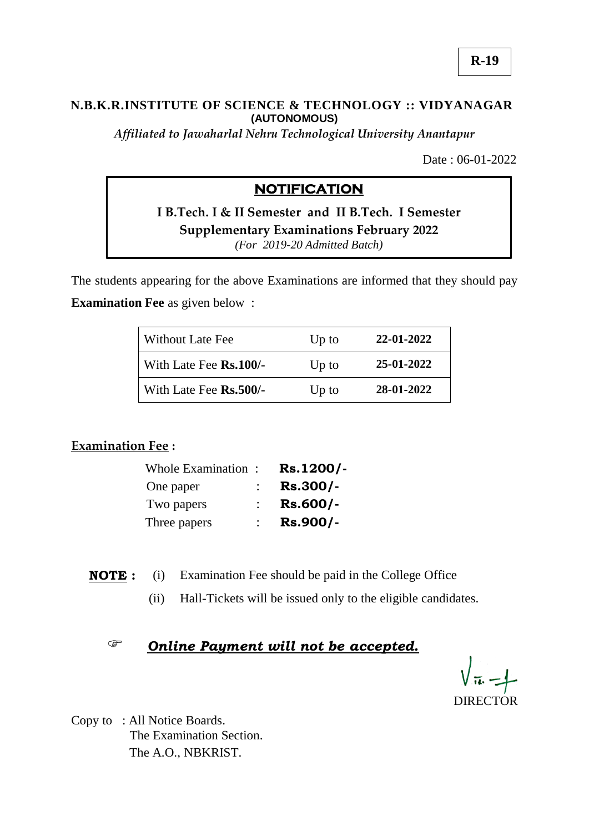### **N.B.K.R.INSTITUTE OF SCIENCE & TECHNOLOGY :: VIDYANAGAR (AUTONOMOUS)**

*Affiliated to Jawaharlal Nehru Technological University Anantapur*

Date : 06-01-2022

# **NOTIFICATION**

**I B.Tech. I & II Semester and II B.Tech. I Semester Supplementary Examinations February 2022** *(For 2019-20 Admitted Batch)*

The students appearing for the above Examinations are informed that they should pay **Examination Fee** as given below :

| Without Late Fee       | $Up$ to | 22-01-2022 |
|------------------------|---------|------------|
| With Late Fee Rs.100/- | $Up$ to | 25-01-2022 |
| With Late Fee Rs.500/- | $Up$ to | 28-01-2022 |

### **Examination Fee :**

| Whole Examination: | Rs.1200/-  |
|--------------------|------------|
| One paper          | Rs.300/-   |
| Two papers         | $Rs.600/-$ |
| Three papers       | Rs.900/-   |

**NOTE :** (i) Examination Fee should be paid in the College Office

(ii) Hall-Tickets will be issued only to the eligible candidates.

## *Online Payment will not be accepted.*

DIRECTOR

Copy to : All Notice Boards. The Examination Section. The A.O., NBKRIST.